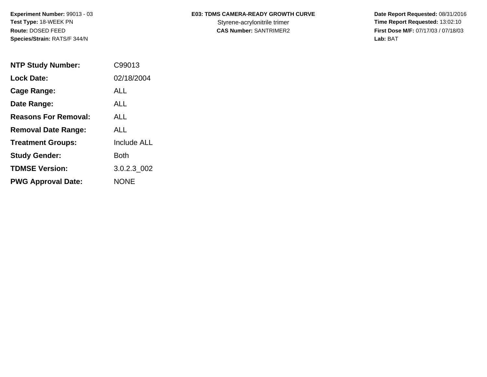**Species/Strain:** RATS/F 344/N **Lab:** BAT

## Experiment Number: 99013 - 03 **ED3: TDMS CAMERA-READY GROWTH CURVE** Date Report Requested: 08/31/2016

Test Type: 18-WEEK PN **Styrene-acrylonitrile trimer** Styrene-acrylonitrile trimer **Time Report Requested:** 13:02:10 **Route:** DOSED FEED **CAS Number:** SANTRIMER2 **First Dose M/F:** 07/17/03 / 07/18/03

| <b>NTP Study Number:</b>    | C99013             |
|-----------------------------|--------------------|
| <b>Lock Date:</b>           | 02/18/2004         |
| Cage Range:                 | ALL                |
| Date Range:                 | AI L               |
| <b>Reasons For Removal:</b> | ALL                |
| <b>Removal Date Range:</b>  | ALL                |
| <b>Treatment Groups:</b>    | <b>Include ALL</b> |
| <b>Study Gender:</b>        | Both               |
| <b>TDMSE Version:</b>       | 3.0.2.3 002        |
| <b>PWG Approval Date:</b>   | <b>NONE</b>        |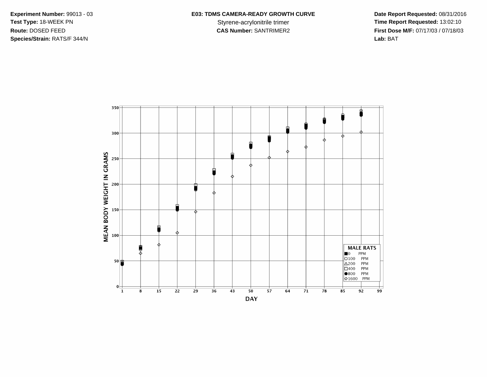**Species/Strain:** RATS/F 344/N **Lab:** BAT

## Experiment Number: 99013 - 03 **ED3: TDMS CAMERA-READY GROWTH CURVE** Date Report Requested: 08/31/2016

Test Type: 18-WEEK PN **Styrene-acrylonitrile trimer** Styrene-acrylonitrile trimer **Time Report Requested:** 13:02:10 **Route:** DOSED FEED **CAS Number:** SANTRIMER2 **First Dose M/F:** 07/17/03 / 07/18/03